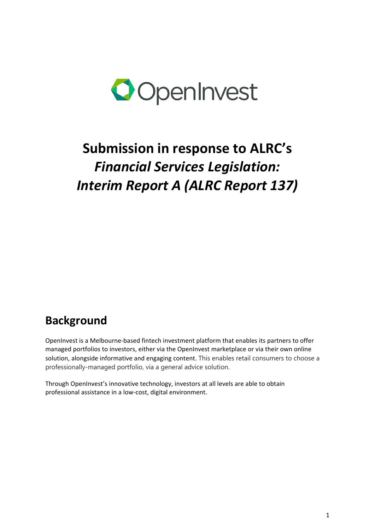

## **Submission in response to ALRC's** *Financial Services Legislation: Interim Report A (ALRC Report 137)*

## **Background**

OpenInvest is a Melbourne-based fintech investment platform that enables its partners to offer managed portfolios to investors, either via the OpenInvest marketplace or via their own online solution, alongside informative and engaging content. This enables retail consumers to choose a professionally-managed portfolio, via a general advice solution.

Through OpenInvest's innovative technology, investors at all levels are able to obtain professional assistance in a low-cost, digital environment.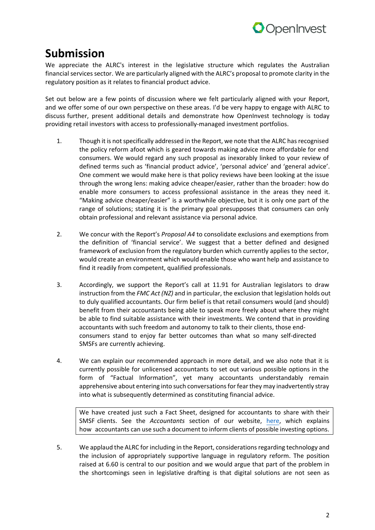

## **Submission**

We appreciate the ALRC's interest in the legislative structure which regulates the Australian financial services sector. We are particularly aligned with the ALRC's proposal to promote clarity in the regulatory position as it relates to financial product advice.

Set out below are a few points of discussion where we felt particularly aligned with your Report, and we offer some of our own perspective on these areas. I'd be very happy to engage with ALRC to discuss further, present additional details and demonstrate how OpenInvest technology is today providing retail investors with access to professionally-managed investment portfolios.

- 1. Though it is not specifically addressed in the Report, we note that the ALRC has recognised the policy reform afoot which is geared towards making advice more affordable for end consumers. We would regard any such proposal as inexorably linked to your review of defined terms such as 'financial product advice', 'personal advice' and 'general advice'. One comment we would make here is that policy reviews have been looking at the issue through the wrong lens: making advice cheaper/easier, rather than the broader: how do enable more consumers to access professional assistance in the areas they need it. "Making advice cheaper/easier" is a worthwhile objective, but it is only one part of the range of solutions; stating it is the primary goal presupposes that consumers can only obtain professional and relevant assistance via personal advice.
- 2. We concur with the Report's *Proposal A4* to consolidate exclusions and exemptions from the definition of 'financial service'. We suggest that a better defined and designed framework of exclusion from the regulatory burden which currently applies to the sector, would create an environment which would enable those who want help and assistance to find it readily from competent, qualified professionals.
- 3. Accordingly, we support the Report's call at 11.91 for Australian legislators to draw instruction from the *FMC Act (NZ)* and in particular, the exclusion that legislation holds out to duly qualified accountants. Our firm belief is that retail consumers would (and should) benefit from their accountants being able to speak more freely about where they might be able to find suitable assistance with their investments. We contend that in providing accountants with such freedom and autonomy to talk to their clients, those endconsumers stand to enjoy far better outcomes than what so many self-directed SMSFs are currently achieving.
- 4. We can explain our recommended approach in more detail, and we also note that it is currently possible for unlicensed accountants to set out various possible options in the form of "Factual Information", yet many accountants understandably remain apprehensive about entering into such conversations for fear they may inadvertently stray into what is subsequently determined as constituting financial advice.

We have created just such a Fact Sheet, designed for accountants to share with their SMSF clients. See the *Accountants* section of our website, here, which explains how accountants can use such a document to inform clients of possible investing options.

5. We applaud the ALRC for including in the Report, considerations regarding technology and the inclusion of appropriately supportive language in regulatory reform. The position raised at 6.60 is central to our position and we would argue that part of the problem in the shortcomings seen in legislative drafting is that digital solutions are not seen as